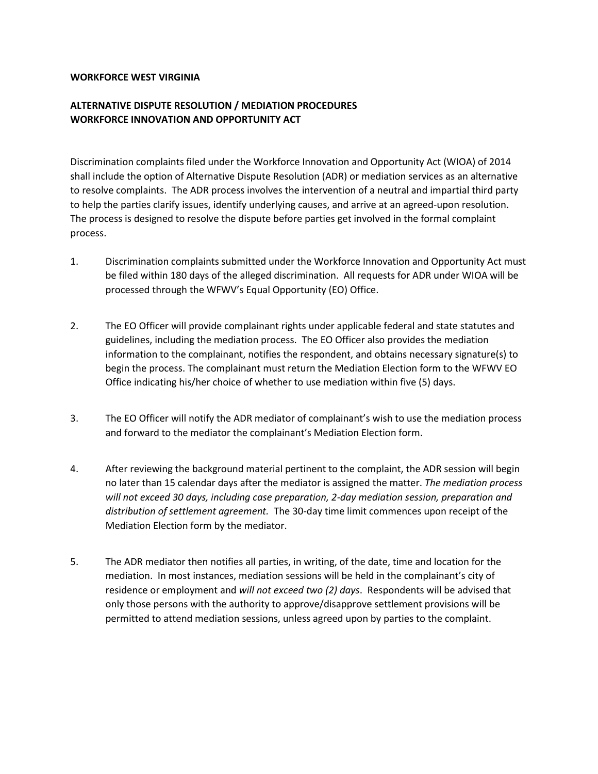## **WORKFORCE WEST VIRGINIA**

## **ALTERNATIVE DISPUTE RESOLUTION / MEDIATION PROCEDURES WORKFORCE INNOVATION AND OPPORTUNITY ACT**

Discrimination complaints filed under the Workforce Innovation and Opportunity Act (WIOA) of 2014 shall include the option of Alternative Dispute Resolution (ADR) or mediation services as an alternative to resolve complaints. The ADR process involves the intervention of a neutral and impartial third party to help the parties clarify issues, identify underlying causes, and arrive at an agreed-upon resolution. The process is designed to resolve the dispute before parties get involved in the formal complaint process.

- 1. Discrimination complaints submitted under the Workforce Innovation and Opportunity Act must be filed within 180 days of the alleged discrimination. All requests for ADR under WIOA will be processed through the WFWV's Equal Opportunity (EO) Office.
- 2. The EO Officer will provide complainant rights under applicable federal and state statutes and guidelines, including the mediation process. The EO Officer also provides the mediation information to the complainant, notifies the respondent, and obtains necessary signature(s) to begin the process. The complainant must return the Mediation Election form to the WFWV EO Office indicating his/her choice of whether to use mediation within five (5) days.
- 3. The EO Officer will notify the ADR mediator of complainant's wish to use the mediation process and forward to the mediator the complainant's Mediation Election form.
- 4. After reviewing the background material pertinent to the complaint, the ADR session will begin no later than 15 calendar days after the mediator is assigned the matter. *The mediation process will not exceed 30 days, including case preparation, 2-day mediation session, preparation and distribution of settlement agreement.* The 30-day time limit commences upon receipt of the Mediation Election form by the mediator.
- 5. The ADR mediator then notifies all parties, in writing, of the date, time and location for the mediation. In most instances, mediation sessions will be held in the complainant's city of residence or employment and *will not exceed two (2) days*. Respondents will be advised that only those persons with the authority to approve/disapprove settlement provisions will be permitted to attend mediation sessions, unless agreed upon by parties to the complaint.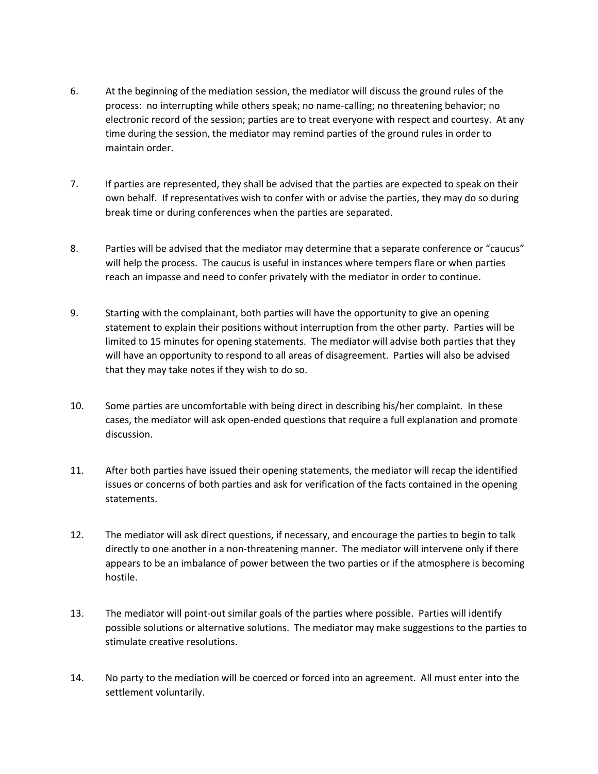- 6. At the beginning of the mediation session, the mediator will discuss the ground rules of the process: no interrupting while others speak; no name-calling; no threatening behavior; no electronic record of the session; parties are to treat everyone with respect and courtesy. At any time during the session, the mediator may remind parties of the ground rules in order to maintain order.
- 7. If parties are represented, they shall be advised that the parties are expected to speak on their own behalf. If representatives wish to confer with or advise the parties, they may do so during break time or during conferences when the parties are separated.
- 8. Parties will be advised that the mediator may determine that a separate conference or "caucus" will help the process. The caucus is useful in instances where tempers flare or when parties reach an impasse and need to confer privately with the mediator in order to continue.
- 9. Starting with the complainant, both parties will have the opportunity to give an opening statement to explain their positions without interruption from the other party. Parties will be limited to 15 minutes for opening statements. The mediator will advise both parties that they will have an opportunity to respond to all areas of disagreement. Parties will also be advised that they may take notes if they wish to do so.
- 10. Some parties are uncomfortable with being direct in describing his/her complaint. In these cases, the mediator will ask open-ended questions that require a full explanation and promote discussion.
- 11. After both parties have issued their opening statements, the mediator will recap the identified issues or concerns of both parties and ask for verification of the facts contained in the opening statements.
- 12. The mediator will ask direct questions, if necessary, and encourage the parties to begin to talk directly to one another in a non-threatening manner. The mediator will intervene only if there appears to be an imbalance of power between the two parties or if the atmosphere is becoming hostile.
- 13. The mediator will point-out similar goals of the parties where possible. Parties will identify possible solutions or alternative solutions. The mediator may make suggestions to the parties to stimulate creative resolutions.
- 14. No party to the mediation will be coerced or forced into an agreement. All must enter into the settlement voluntarily.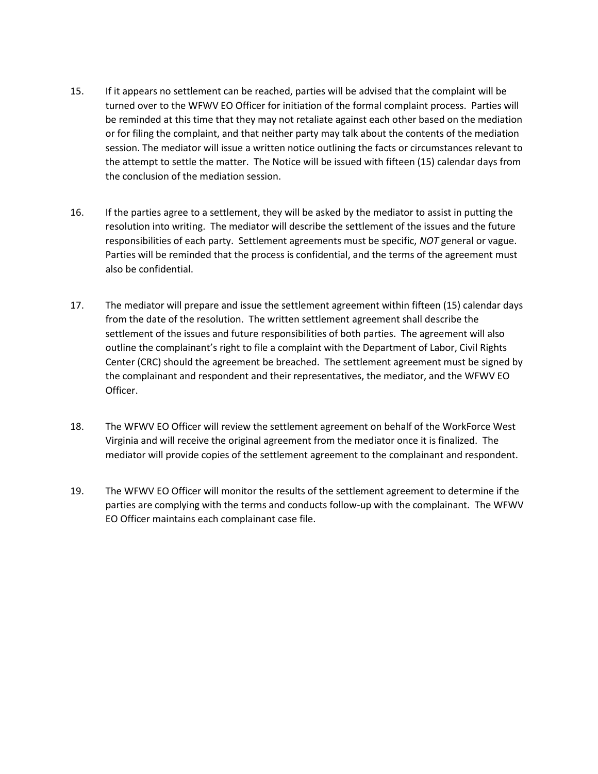- 15. If it appears no settlement can be reached, parties will be advised that the complaint will be turned over to the WFWV EO Officer for initiation of the formal complaint process. Parties will be reminded at this time that they may not retaliate against each other based on the mediation or for filing the complaint, and that neither party may talk about the contents of the mediation session. The mediator will issue a written notice outlining the facts or circumstances relevant to the attempt to settle the matter. The Notice will be issued with fifteen (15) calendar days from the conclusion of the mediation session.
- 16. If the parties agree to a settlement, they will be asked by the mediator to assist in putting the resolution into writing. The mediator will describe the settlement of the issues and the future responsibilities of each party. Settlement agreements must be specific, *NOT* general or vague. Parties will be reminded that the process is confidential, and the terms of the agreement must also be confidential.
- 17. The mediator will prepare and issue the settlement agreement within fifteen (15) calendar days from the date of the resolution. The written settlement agreement shall describe the settlement of the issues and future responsibilities of both parties. The agreement will also outline the complainant's right to file a complaint with the Department of Labor, Civil Rights Center (CRC) should the agreement be breached. The settlement agreement must be signed by the complainant and respondent and their representatives, the mediator, and the WFWV EO Officer.
- 18. The WFWV EO Officer will review the settlement agreement on behalf of the WorkForce West Virginia and will receive the original agreement from the mediator once it is finalized. The mediator will provide copies of the settlement agreement to the complainant and respondent.
- 19. The WFWV EO Officer will monitor the results of the settlement agreement to determine if the parties are complying with the terms and conducts follow-up with the complainant. The WFWV EO Officer maintains each complainant case file.